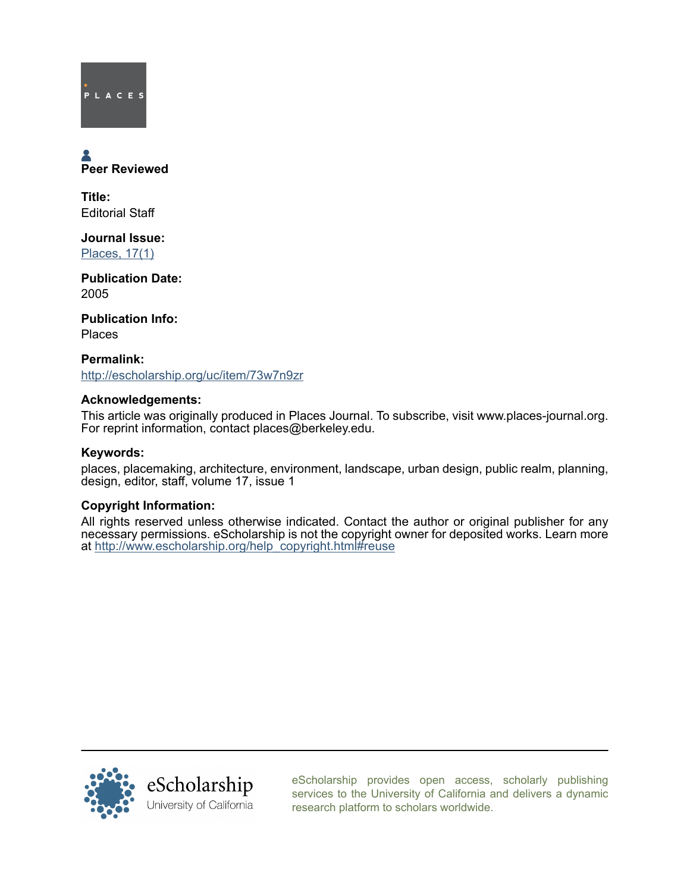

# Peer Reviewed

Title: Editorial Staff

Journal Issue: [Places, 17\(1\)](http://escholarship.org/uc/ced_places?volume=17;issue=1)

Publication Date: 2005

Publication Info: Places

Permalink: <http://escholarship.org/uc/item/73w7n9zr>

# Acknowledgements:

This article was originally produced in Places Journal. To subscribe, visit www.places-journal.org. For reprint information, contact places@berkeley.edu.

# Keywords:

places, placemaking, architecture, environment, landscape, urban design, public realm, planning, design, editor, staff, volume 17, issue 1

# Copyright Information:

All rights reserved unless otherwise indicated. Contact the author or original publisher for any necessary permissions. eScholarship is not the copyright owner for deposited works. Learn more at [http://www.escholarship.org/help\\_copyright.html#reuse](http://www.escholarship.org/help_copyright.html#reuse)



[eScholarship provides open access, scholarly publishing](http://escholarship.org) [services to the University of California and delivers a dynamic](http://escholarship.org) [research platform to scholars worldwide.](http://escholarship.org)